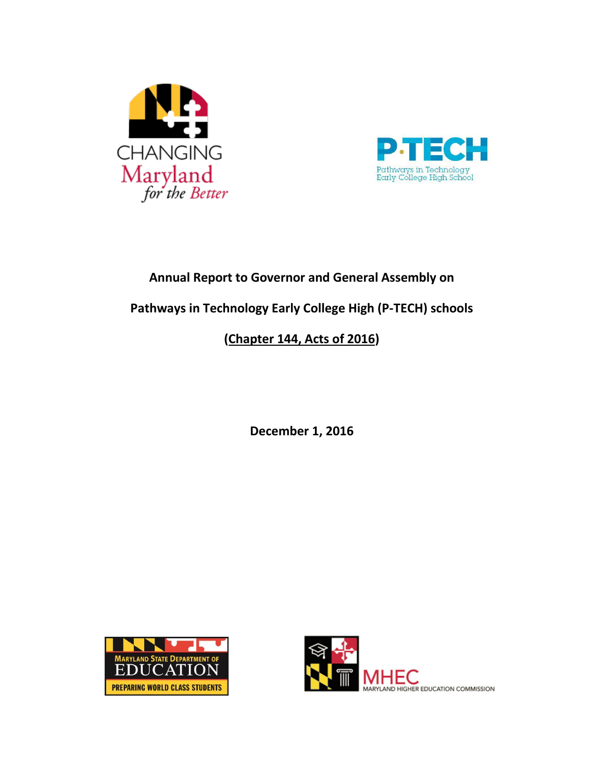



# **Annual Report to Governor and General Assembly on**

**Pathways in Technology Early College High (P-TECH) schools**

# **[\(Chapter 144, Acts of 2016\)](http://mgaleg.maryland.gov/2016RS/chapters_noln/Ch_144_sb0376T.pdf)**

**December 1, 2016**



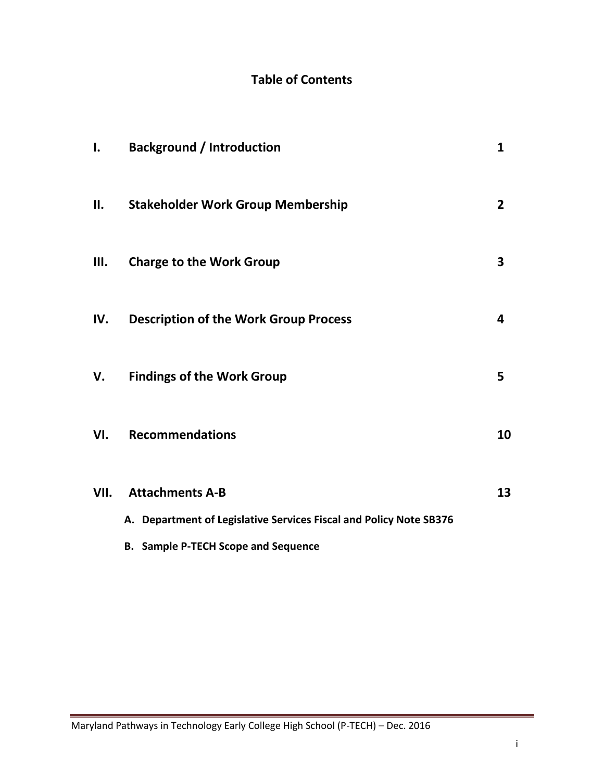# **Table of Contents**

| I.   | <b>Background / Introduction</b>                                   | 1              |
|------|--------------------------------------------------------------------|----------------|
| II.  | <b>Stakeholder Work Group Membership</b>                           | $\overline{2}$ |
| Ш.   | <b>Charge to the Work Group</b>                                    | 3              |
| IV.  | <b>Description of the Work Group Process</b>                       | 4              |
| V.   | <b>Findings of the Work Group</b>                                  | 5              |
| VI.  | <b>Recommendations</b>                                             | 10             |
| VII. | <b>Attachments A-B</b>                                             | 13             |
|      | A. Department of Legislative Services Fiscal and Policy Note SB376 |                |
|      | <b>B.</b> Sample P-TECH Scope and Sequence                         |                |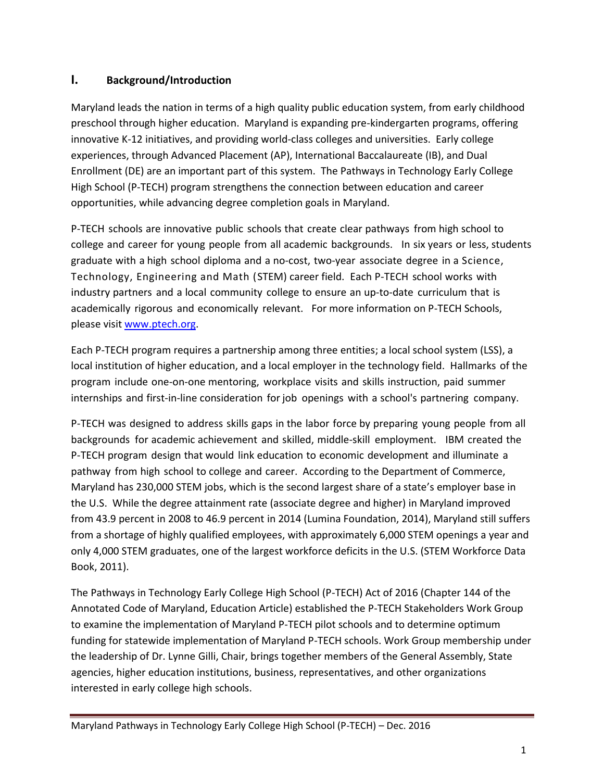# **I. Background/Introduction**

Maryland leads the nation in terms of a high quality public education system, from early childhood preschool through higher education. Maryland is expanding pre-kindergarten programs, offering innovative K-12 initiatives, and providing world-class colleges and universities. Early college experiences, through Advanced Placement (AP), International Baccalaureate (IB), and Dual Enrollment (DE) are an important part of this system. The Pathways in Technology Early College High School (P-TECH) program strengthens the connection between education and career opportunities, while advancing degree completion goals in Maryland.

P-TECH schools are innovative public schools that create clear pathways from high school to college and career for young people from all academic backgrounds. In six years or less, students graduate with a high school diploma and a no-cost, two-year associate degree in a Science, Technology, Engineering and Math (STEM) career field. Each P-TECH school works with industry partners and a local community college to ensure an up-to-date curriculum that is academically rigorous and economically relevant. For more information on P-TECH Schools, please visit [www.ptech.org.](http://www.ptech.org/)

Each P-TECH program requires a partnership among three entities; a local school system (LSS), a local institution of higher education, and a local employer in the technology field. Hallmarks of the program include one-on-one mentoring, workplace visits and skills instruction, paid summer internships and first-in-line consideration for job openings with a school's partnering company.

P-TECH was designed to address skills gaps in the labor force by preparing young people from all backgrounds for academic achievement and skilled, middle-skill employment. IBM created the P-TECH program design that would link education to economic development and illuminate a pathway from high school to college and career. According to the Department of Commerce, Maryland has 230,000 STEM jobs, which is the second largest share of a state's employer base in the U.S. While the degree attainment rate (associate degree and higher) in Maryland improved from 43.9 percent in 2008 to 46.9 percent in 2014 (Lumina Foundation, 2014), Maryland still suffers from a shortage of highly qualified employees, with approximately 6,000 STEM openings a year and only 4,000 STEM graduates, one of the largest workforce deficits in the U.S. (STEM Workforce Data Book, 2011).

The Pathways in Technology Early College High School (P-TECH) Act of 2016 (Chapter 144 of the Annotated Code of Maryland, Education Article) established the P-TECH Stakeholders Work Group to examine the implementation of Maryland P-TECH pilot schools and to determine optimum funding for statewide implementation of Maryland P-TECH schools. Work Group membership under the leadership of Dr. Lynne Gilli, Chair, brings together members of the General Assembly, State agencies, higher education institutions, business, representatives, and other organizations interested in early college high schools.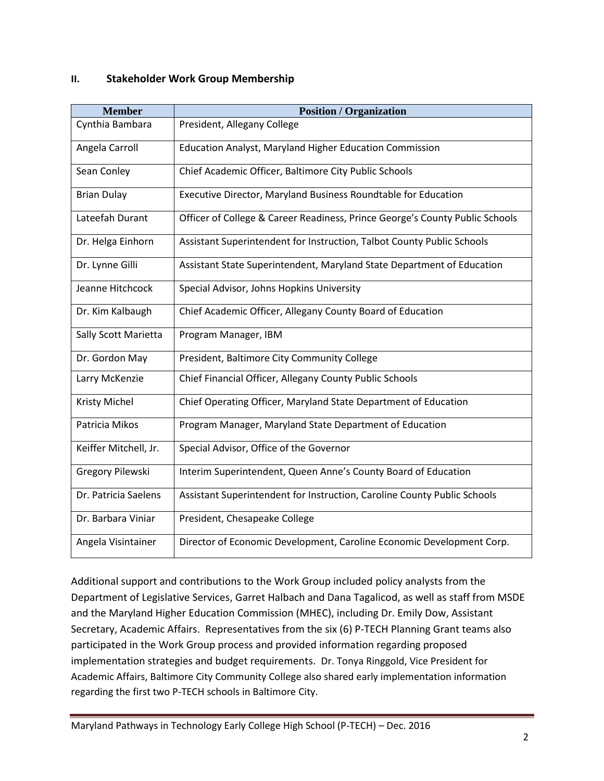#### **II. Stakeholder Work Group Membership**

| <b>Member</b>         | <b>Position / Organization</b>                                               |
|-----------------------|------------------------------------------------------------------------------|
| Cynthia Bambara       | President, Allegany College                                                  |
| Angela Carroll        | <b>Education Analyst, Maryland Higher Education Commission</b>               |
| Sean Conley           | Chief Academic Officer, Baltimore City Public Schools                        |
| <b>Brian Dulay</b>    | Executive Director, Maryland Business Roundtable for Education               |
| Lateefah Durant       | Officer of College & Career Readiness, Prince George's County Public Schools |
| Dr. Helga Einhorn     | Assistant Superintendent for Instruction, Talbot County Public Schools       |
| Dr. Lynne Gilli       | Assistant State Superintendent, Maryland State Department of Education       |
| Jeanne Hitchcock      | Special Advisor, Johns Hopkins University                                    |
| Dr. Kim Kalbaugh      | Chief Academic Officer, Allegany County Board of Education                   |
| Sally Scott Marietta  | Program Manager, IBM                                                         |
| Dr. Gordon May        | President, Baltimore City Community College                                  |
| Larry McKenzie        | Chief Financial Officer, Allegany County Public Schools                      |
| Kristy Michel         | Chief Operating Officer, Maryland State Department of Education              |
| Patricia Mikos        | Program Manager, Maryland State Department of Education                      |
| Keiffer Mitchell, Jr. | Special Advisor, Office of the Governor                                      |
| Gregory Pilewski      | Interim Superintendent, Queen Anne's County Board of Education               |
| Dr. Patricia Saelens  | Assistant Superintendent for Instruction, Caroline County Public Schools     |
| Dr. Barbara Viniar    | President, Chesapeake College                                                |
| Angela Visintainer    | Director of Economic Development, Caroline Economic Development Corp.        |

Additional support and contributions to the Work Group included policy analysts from the Department of Legislative Services, Garret Halbach and Dana Tagalicod, as well as staff from MSDE and the Maryland Higher Education Commission (MHEC), including Dr. Emily Dow, Assistant Secretary, Academic Affairs. Representatives from the six (6) P-TECH Planning Grant teams also participated in the Work Group process and provided information regarding proposed implementation strategies and budget requirements. Dr. Tonya Ringgold, Vice President for Academic Affairs, Baltimore City Community College also shared early implementation information regarding the first two P-TECH schools in Baltimore City.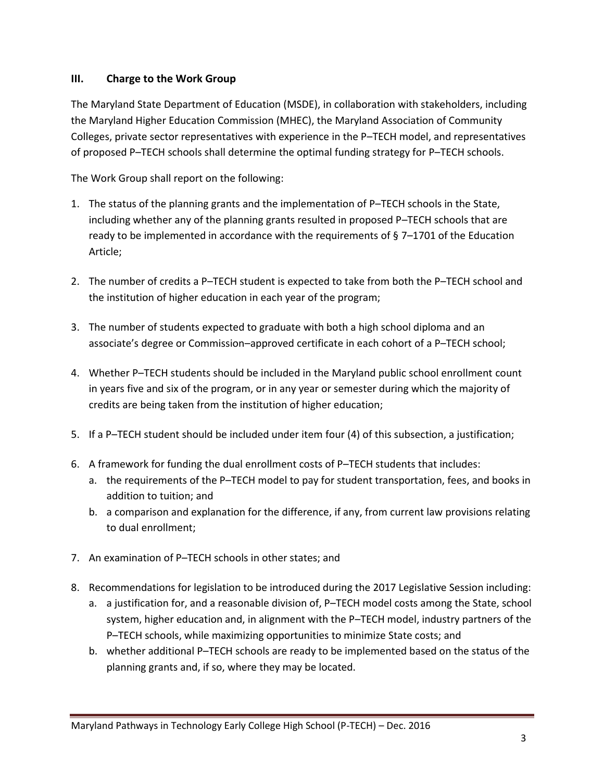#### **III. Charge to the Work Group**

The Maryland State Department of Education (MSDE), in collaboration with stakeholders, including the Maryland Higher Education Commission (MHEC), the Maryland Association of Community Colleges, private sector representatives with experience in the P–TECH model, and representatives of proposed P–TECH schools shall determine the optimal funding strategy for P–TECH schools.

The Work Group shall report on the following:

- 1. The status of the planning grants and the implementation of P–TECH schools in the State, including whether any of the planning grants resulted in proposed P–TECH schools that are ready to be implemented in accordance with the requirements of § 7–1701 of the Education Article;
- 2. The number of credits a P–TECH student is expected to take from both the P–TECH school and the institution of higher education in each year of the program;
- 3. The number of students expected to graduate with both a high school diploma and an associate's degree or Commission–approved certificate in each cohort of a P–TECH school;
- 4. Whether P–TECH students should be included in the Maryland public school enrollment count in years five and six of the program, or in any year or semester during which the majority of credits are being taken from the institution of higher education;
- 5. If a P–TECH student should be included under item four (4) of this subsection, a justification;
- 6. A framework for funding the dual enrollment costs of P–TECH students that includes:
	- a. the requirements of the P–TECH model to pay for student transportation, fees, and books in addition to tuition; and
	- b. a comparison and explanation for the difference, if any, from current law provisions relating to dual enrollment;
- 7. An examination of P–TECH schools in other states; and
- 8. Recommendations for legislation to be introduced during the 2017 Legislative Session including:
	- a. a justification for, and a reasonable division of, P–TECH model costs among the State, school system, higher education and, in alignment with the P–TECH model, industry partners of the P–TECH schools, while maximizing opportunities to minimize State costs; and
	- b. whether additional P–TECH schools are ready to be implemented based on the status of the planning grants and, if so, where they may be located.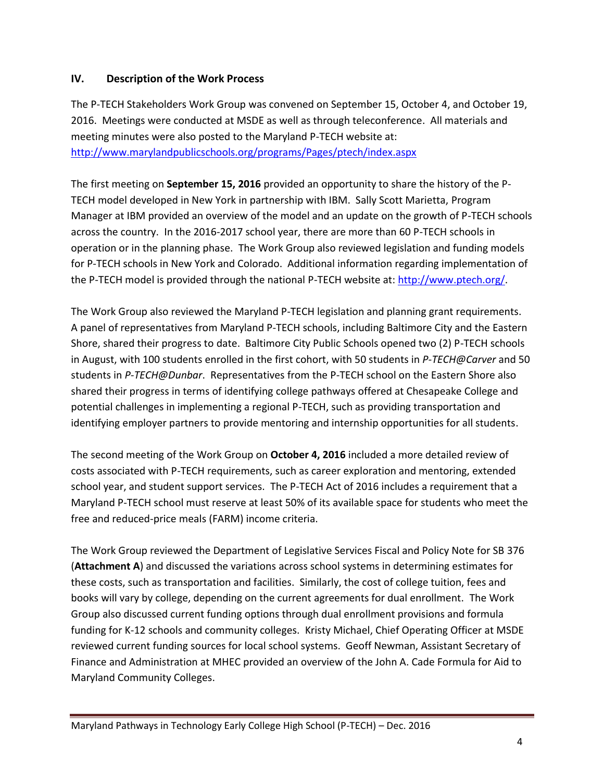#### **IV. Description of the Work Process**

The P-TECH Stakeholders Work Group was convened on September 15, October 4, and October 19, 2016. Meetings were conducted at MSDE as well as through teleconference. All materials and meeting minutes were also posted to the Maryland P-TECH website at: <http://www.marylandpublicschools.org/programs/Pages/ptech/index.aspx>

The first meeting on **September 15, 2016** provided an opportunity to share the history of the P-TECH model developed in New York in partnership with IBM. Sally Scott Marietta, Program Manager at IBM provided an overview of the model and an update on the growth of P-TECH schools across the country. In the 2016-2017 school year, there are more than 60 P-TECH schools in operation or in the planning phase. The Work Group also reviewed legislation and funding models for P-TECH schools in New York and Colorado. Additional information regarding implementation of the P-TECH model is provided through the national P-TECH website at: [http://www.ptech.org/.](http://www.ptech.org/)

The Work Group also reviewed the Maryland P-TECH legislation and planning grant requirements. A panel of representatives from Maryland P-TECH schools, including Baltimore City and the Eastern Shore, shared their progress to date. Baltimore City Public Schools opened two (2) P-TECH schools in August, with 100 students enrolled in the first cohort, with 50 students in *P-TECH@Carver* and 50 students in *P-TECH@Dunbar*. Representatives from the P-TECH school on the Eastern Shore also shared their progress in terms of identifying college pathways offered at Chesapeake College and potential challenges in implementing a regional P-TECH, such as providing transportation and identifying employer partners to provide mentoring and internship opportunities for all students.

The second meeting of the Work Group on **October 4, 2016** included a more detailed review of costs associated with P-TECH requirements, such as career exploration and mentoring, extended school year, and student support services. The P-TECH Act of 2016 includes a requirement that a Maryland P-TECH school must reserve at least 50% of its available space for students who meet the free and reduced-price meals (FARM) income criteria.

The Work Group reviewed the Department of Legislative Services Fiscal and Policy Note for SB 376 (**Attachment A**) and discussed the variations across school systems in determining estimates for these costs, such as transportation and facilities. Similarly, the cost of college tuition, fees and books will vary by college, depending on the current agreements for dual enrollment. The Work Group also discussed current funding options through dual enrollment provisions and formula funding for K-12 schools and community colleges. Kristy Michael, Chief Operating Officer at MSDE reviewed current funding sources for local school systems. Geoff Newman, Assistant Secretary of Finance and Administration at MHEC provided an overview of the John A. Cade Formula for Aid to Maryland Community Colleges.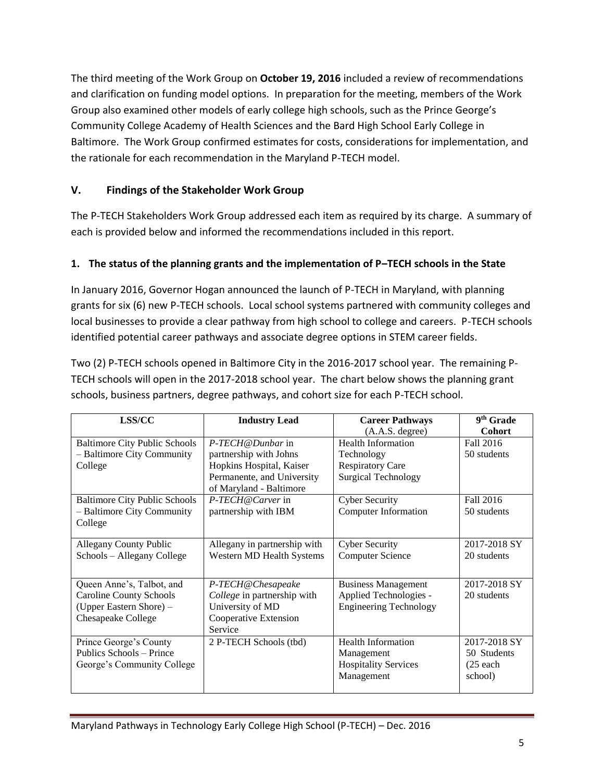The third meeting of the Work Group on **October 19, 2016** included a review of recommendations and clarification on funding model options. In preparation for the meeting, members of the Work Group also examined other models of early college high schools, such as the Prince George's Community College Academy of Health Sciences and the Bard High School Early College in Baltimore. The Work Group confirmed estimates for costs, considerations for implementation, and the rationale for each recommendation in the Maryland P-TECH model.

# **V. Findings of the Stakeholder Work Group**

The P-TECH Stakeholders Work Group addressed each item as required by its charge. A summary of each is provided below and informed the recommendations included in this report.

# **1. The status of the planning grants and the implementation of P–TECH schools in the State**

In January 2016, Governor Hogan announced the launch of P-TECH in Maryland, with planning grants for six (6) new P-TECH schools. Local school systems partnered with community colleges and local businesses to provide a clear pathway from high school to college and careers. P-TECH schools identified potential career pathways and associate degree options in STEM career fields.

Two (2) P-TECH schools opened in Baltimore City in the 2016-2017 school year. The remaining P-TECH schools will open in the 2017-2018 school year. The chart below shows the planning grant schools, business partners, degree pathways, and cohort size for each P-TECH school.

| LSS/CC                                                   | <b>Industry Lead</b>         | <b>Career Pathways</b>        | 9 <sup>th</sup> Grade |
|----------------------------------------------------------|------------------------------|-------------------------------|-----------------------|
|                                                          |                              | (A.A.S. degree)               | <b>Cohort</b>         |
| <b>Baltimore City Public Schools</b><br>P-TECH@Dunbar in |                              | <b>Health Information</b>     | Fall 2016             |
| - Baltimore City Community                               | partnership with Johns       | Technology                    | 50 students           |
| College                                                  | Hopkins Hospital, Kaiser     | <b>Respiratory Care</b>       |                       |
|                                                          | Permanente, and University   | <b>Surgical Technology</b>    |                       |
|                                                          | of Maryland - Baltimore      |                               |                       |
| <b>Baltimore City Public Schools</b>                     | P-TECH@Carver in             | <b>Cyber Security</b>         | Fall 2016             |
| - Baltimore City Community                               | partnership with IBM         | <b>Computer Information</b>   | 50 students           |
| College                                                  |                              |                               |                       |
|                                                          |                              |                               |                       |
| <b>Allegany County Public</b>                            | Allegany in partnership with | <b>Cyber Security</b>         | 2017-2018 SY          |
| Schools - Allegany College                               | Western MD Health Systems    | <b>Computer Science</b>       | 20 students           |
|                                                          |                              |                               |                       |
| Queen Anne's, Talbot, and                                | P-TECH@Chesapeake            | <b>Business Management</b>    | 2017-2018 SY          |
| <b>Caroline County Schools</b>                           | College in partnership with  | Applied Technologies -        | 20 students           |
| (Upper Eastern Shore) -                                  | University of MD             | <b>Engineering Technology</b> |                       |
| Chesapeake College                                       | Cooperative Extension        |                               |                       |
|                                                          | Service                      |                               |                       |
| Prince George's County                                   | 2 P-TECH Schools (tbd)       | <b>Health Information</b>     | 2017-2018 SY          |
| Publics Schools - Prince                                 |                              | Management                    | 50 Students           |
| George's Community College                               |                              | <b>Hospitality Services</b>   | $(25$ each            |
|                                                          |                              | Management                    | school)               |
|                                                          |                              |                               |                       |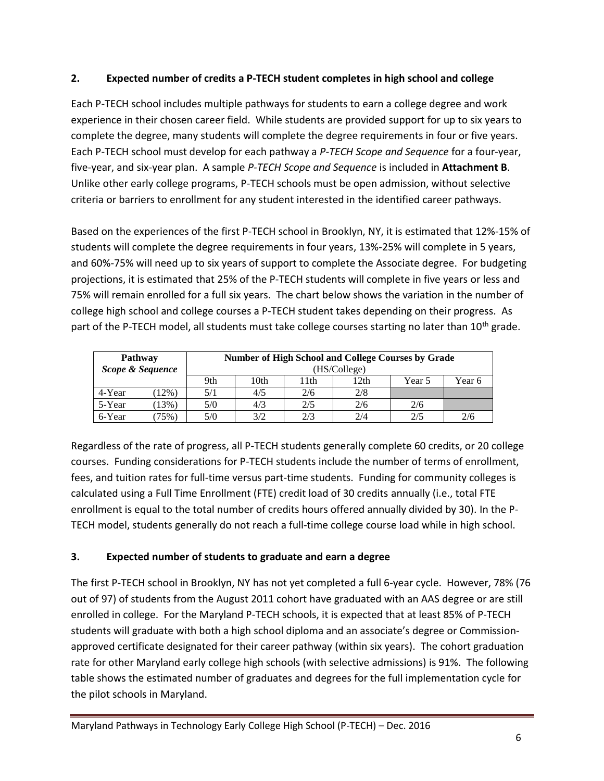#### **2. Expected number of credits a P-TECH student completes in high school and college**

Each P-TECH school includes multiple pathways for students to earn a college degree and work experience in their chosen career field. While students are provided support for up to six years to complete the degree, many students will complete the degree requirements in four or five years. Each P-TECH school must develop for each pathway a *P-TECH Scope and Sequence* for a four-year, five-year, and six-year plan. A sample *P-TECH Scope and Sequence* is included in **Attachment B**. Unlike other early college programs, P-TECH schools must be open admission, without selective criteria or barriers to enrollment for any student interested in the identified career pathways.

Based on the experiences of the first P-TECH school in Brooklyn, NY, it is estimated that 12%-15% of students will complete the degree requirements in four years, 13%-25% will complete in 5 years, and 60%-75% will need up to six years of support to complete the Associate degree. For budgeting projections, it is estimated that 25% of the P-TECH students will complete in five years or less and 75% will remain enrolled for a full six years. The chart below shows the variation in the number of college high school and college courses a P-TECH student takes depending on their progress. As part of the P-TECH model, all students must take college courses starting no later than 10<sup>th</sup> grade.

| <b>Pathway</b><br>Scope & Sequence |         |     |      |      | <b>Number of High School and College Courses by Grade</b><br>(HS/College) |        |        |
|------------------------------------|---------|-----|------|------|---------------------------------------------------------------------------|--------|--------|
|                                    |         | 9th | 10th | 11th | 12th                                                                      | Year 5 | Year 6 |
| 4-Year                             | $12\%$  | 5/1 | 4/5  | 2/6  | 2/8                                                                       |        |        |
| 5-Year                             | $13\%)$ | 5/0 | 4/3  | 2/5  | 2/6                                                                       | 2/6    |        |
| 6-Year                             | 75%)    | 5/0 | 3/2  | 2/3  | 2/4                                                                       | 2/5    | 2/6    |

Regardless of the rate of progress, all P-TECH students generally complete 60 credits, or 20 college courses. Funding considerations for P-TECH students include the number of terms of enrollment, fees, and tuition rates for full-time versus part-time students. Funding for community colleges is calculated using a Full Time Enrollment (FTE) credit load of 30 credits annually (i.e., total FTE enrollment is equal to the total number of credits hours offered annually divided by 30). In the P-TECH model, students generally do not reach a full-time college course load while in high school.

# **3. Expected number of students to graduate and earn a degree**

The first P-TECH school in Brooklyn, NY has not yet completed a full 6-year cycle. However, 78% (76 out of 97) of students from the August 2011 cohort have graduated with an AAS degree or are still enrolled in college. For the Maryland P-TECH schools, it is expected that at least 85% of P-TECH students will graduate with both a high school diploma and an associate's degree or Commissionapproved certificate designated for their career pathway (within six years). The cohort graduation rate for other Maryland early college high schools (with selective admissions) is 91%. The following table shows the estimated number of graduates and degrees for the full implementation cycle for the pilot schools in Maryland.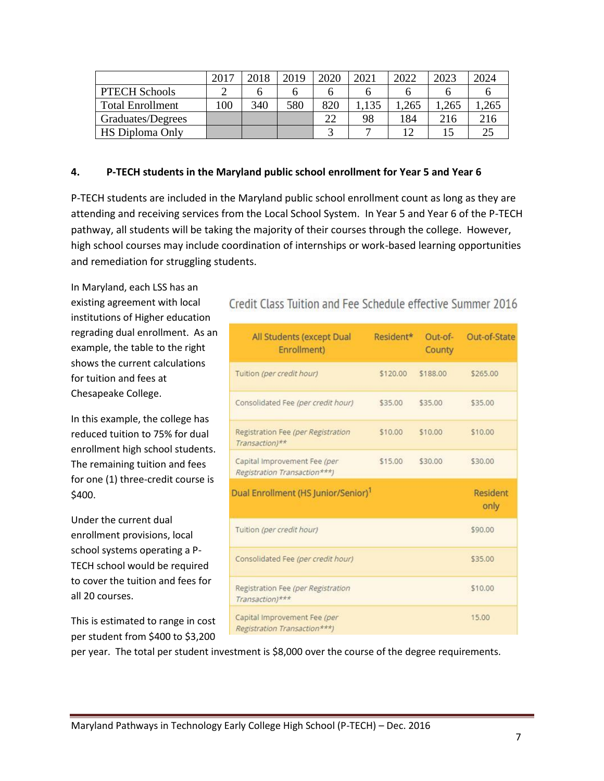|                         | 2017 | 2018 | 2019 | 2020 | 2021 | 2022 | 2023 | 2024 |
|-------------------------|------|------|------|------|------|------|------|------|
| <b>PTECH Schools</b>    |      | n    |      |      |      |      |      |      |
| <b>Total Enrollment</b> | 00   | 340  | 580  | 820  | 135  | .265 | .265 | ,265 |
| Graduates/Degrees       |      |      |      | 22   | 98   | 184  | 216  | 216  |
| <b>HS Diploma Only</b>  |      |      |      |      |      |      |      |      |

#### **4. P-TECH students in the Maryland public school enrollment for Year 5 and Year 6**

P-TECH students are included in the Maryland public school enrollment count as long as they are attending and receiving services from the Local School System. In Year 5 and Year 6 of the P-TECH pathway, all students will be taking the majority of their courses through the college. However, high school courses may include coordination of internships or work-based learning opportunities and remediation for struggling students.

In Maryland, each LSS has an existing agreement with local institutions of Higher education regrading dual enrollment. As an example, the table to the right shows the current calculations for tuition and fees at Chesapeake College.

In this example, the college has reduced tuition to 75% for dual enrollment high school students. The remaining tuition and fees for one (1) three-credit course is \$400.

Under the current dual enrollment provisions, local school systems operating a P-TECH school would be required to cover the tuition and fees for all 20 courses.

This is estimated to range in cost per student from \$400 to \$3,200

# Credit Class Tuition and Fee Schedule effective Summer 2016

| All Students (except Dual<br>Enrollment)                     | Resident* | Out-of-<br>County | Out-of-State            |
|--------------------------------------------------------------|-----------|-------------------|-------------------------|
| Tuition (per credit hour)                                    | \$120.00  | \$188.00          | \$265.00                |
| Consolidated Fee (per credit hour)                           | \$35.00   | \$35.00           | \$35.00                 |
| Registration Fee (per Registration<br>Transaction)**         | \$10.00   | \$10.00           | \$10.00                 |
| Capital Improvement Fee (per<br>Registration Transaction***) | \$15.00   | \$30.00           | \$30.00                 |
| Dual Enrollment (HS Junior/Senior) <sup>1</sup>              |           |                   | <b>Resident</b><br>only |
| Tuition (per credit hour)                                    |           |                   | \$90.00                 |
| Consolidated Fee (per credit hour)                           |           |                   | \$35.00                 |
| Registration Fee (per Registration<br>Transaction)***        |           |                   | \$10.00                 |
| Capital Improvement Fee (per<br>Registration Transaction***) |           |                   | 15.00                   |

per year. The total per student investment is \$8,000 over the course of the degree requirements.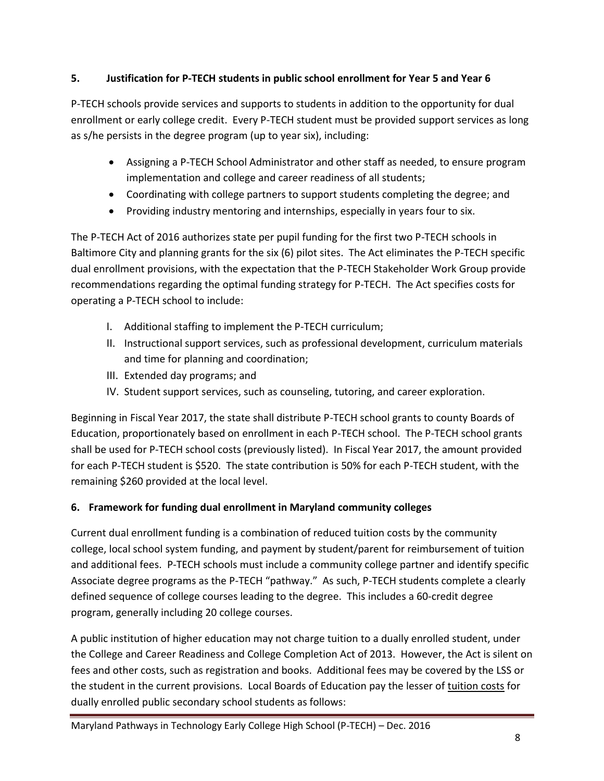### **5. Justification for P-TECH students in public school enrollment for Year 5 and Year 6**

P-TECH schools provide services and supports to students in addition to the opportunity for dual enrollment or early college credit. Every P-TECH student must be provided support services as long as s/he persists in the degree program (up to year six), including:

- Assigning a P-TECH School Administrator and other staff as needed, to ensure program implementation and college and career readiness of all students;
- Coordinating with college partners to support students completing the degree; and
- Providing industry mentoring and internships, especially in years four to six.

The P-TECH Act of 2016 authorizes state per pupil funding for the first two P-TECH schools in Baltimore City and planning grants for the six (6) pilot sites. The Act eliminates the P-TECH specific dual enrollment provisions, with the expectation that the P-TECH Stakeholder Work Group provide recommendations regarding the optimal funding strategy for P-TECH. The Act specifies costs for operating a P-TECH school to include:

- I. Additional staffing to implement the P-TECH curriculum;
- II. Instructional support services, such as professional development, curriculum materials and time for planning and coordination;
- III. Extended day programs; and
- IV. Student support services, such as counseling, tutoring, and career exploration.

Beginning in Fiscal Year 2017, the state shall distribute P-TECH school grants to county Boards of Education, proportionately based on enrollment in each P-TECH school. The P-TECH school grants shall be used for P-TECH school costs (previously listed). In Fiscal Year 2017, the amount provided for each P-TECH student is \$520. The state contribution is 50% for each P-TECH student, with the remaining \$260 provided at the local level.

# **6. Framework for funding dual enrollment in Maryland community colleges**

Current dual enrollment funding is a combination of reduced tuition costs by the community college, local school system funding, and payment by student/parent for reimbursement of tuition and additional fees. P-TECH schools must include a community college partner and identify specific Associate degree programs as the P-TECH "pathway." As such, P-TECH students complete a clearly defined sequence of college courses leading to the degree. This includes a 60-credit degree program, generally including 20 college courses.

A public institution of higher education may not charge tuition to a dually enrolled student, under the College and Career Readiness and College Completion Act of 2013. However, the Act is silent on fees and other costs, such as registration and books. Additional fees may be covered by the LSS or the student in the current provisions. Local Boards of Education pay the lesser of tuition costs for dually enrolled public secondary school students as follows: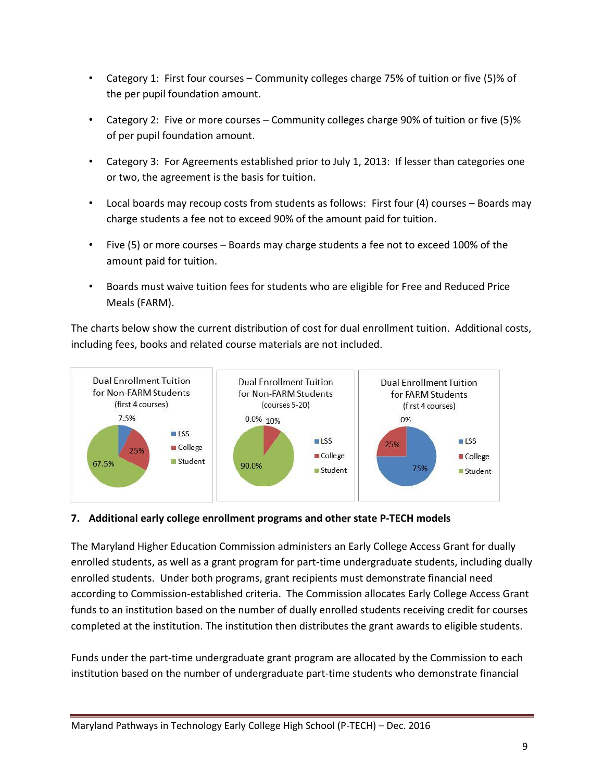- Category 1: First four courses Community colleges charge 75% of tuition or five (5)% of the per pupil foundation amount.
- Category 2: Five or more courses Community colleges charge 90% of tuition or five (5)% of per pupil foundation amount.
- Category 3: For Agreements established prior to July 1, 2013: If lesser than categories one or two, the agreement is the basis for tuition.
- Local boards may recoup costs from students as follows: First four (4) courses Boards may charge students a fee not to exceed 90% of the amount paid for tuition.
- Five (5) or more courses Boards may charge students a fee not to exceed 100% of the amount paid for tuition.
- Boards must waive tuition fees for students who are eligible for Free and Reduced Price Meals (FARM).

The charts below show the current distribution of cost for dual enrollment tuition. Additional costs, including fees, books and related course materials are not included.



#### **7. Additional early college enrollment programs and other state P-TECH models**

The Maryland Higher Education Commission administers an Early College Access Grant for dually enrolled students, as well as a grant program for part-time undergraduate students, including dually enrolled students. Under both programs, grant recipients must demonstrate financial need according to Commission-established criteria. The Commission allocates Early College Access Grant funds to an institution based on the number of dually enrolled students receiving credit for courses completed at the institution. The institution then distributes the grant awards to eligible students.

Funds under the part-time undergraduate grant program are allocated by the Commission to each institution based on the number of undergraduate part-time students who demonstrate financial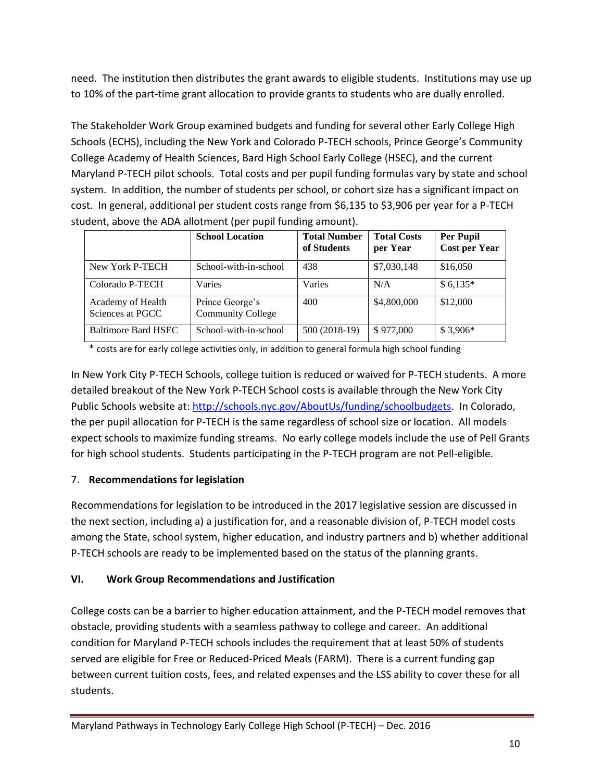need. The institution then distributes the grant awards to eligible students. Institutions may use up to 10% of the part-time grant allocation to provide grants to students who are dually enrolled.

The Stakeholder Work Group examined budgets and funding for several other Early College High Schools (ECHS), including the New York and Colorado P-TECH schools, Prince George's Community College Academy of Health Sciences, Bard High School Early College (HSEC), and the current Maryland P-TECH pilot schools. Total costs and per pupil funding formulas vary by state and school system. In addition, the number of students per school, or cohort size has a significant impact on cost. In general, additional per student costs range from \$6,135 to \$3,906 per year for a P-TECH student, above the ADA allotment (per pupil funding amount).

|                                       | <b>School Location</b>                      | <b>Total Number</b><br>of Students | <b>Total Costs</b><br>per Year | <b>Per Pupil</b><br><b>Cost per Year</b> |
|---------------------------------------|---------------------------------------------|------------------------------------|--------------------------------|------------------------------------------|
| New York P-TECH                       | School-with-in-school                       | 438                                | \$7,030,148                    | \$16,050                                 |
| Colorado P-TECH                       | Varies                                      | Varies                             | N/A                            | $$6,135*$                                |
| Academy of Health<br>Sciences at PGCC | Prince George's<br><b>Community College</b> | 400                                | \$4,800,000                    | \$12,000                                 |
| Baltimore Bard HSEC                   | School-with-in-school                       | 500 (2018-19)                      | \$977,000                      | $$3,906*$                                |

\* costs are for early college activities only, in addition to general formula high school funding

In New York City P-TECH Schools, college tuition is reduced or waived for P-TECH students. A more detailed breakout of the New York P-TECH School costs is available through the New York City Public Schools website at: [http://schools.nyc.gov/AboutUs/funding/schoolbudgets.](http://schools.nyc.gov/AboutUs/funding/schoolbudgets/FY17SchoolBudgetOverview.htm?schoolcode=K122) In Colorado, the per pupil allocation for P-TECH is the same regardless of school size or location. All models expect schools to maximize funding streams. No early college models include the use of Pell Grants for high school students. Students participating in the P-TECH program are not Pell-eligible.

# 7. **Recommendations for legislation**

Recommendations for legislation to be introduced in the 2017 legislative session are discussed in the next section, including a) a justification for, and a reasonable division of, P-TECH model costs among the State, school system, higher education, and industry partners and b) whether additional P-TECH schools are ready to be implemented based on the status of the planning grants.

#### **VI. Work Group Recommendations and Justification**

College costs can be a barrier to higher education attainment, and the P-TECH model removes that obstacle, providing students with a seamless pathway to college and career. An additional condition for Maryland P-TECH schools includes the requirement that at least 50% of students served are eligible for Free or Reduced-Priced Meals (FARM). There is a current funding gap between current tuition costs, fees, and related expenses and the LSS ability to cover these for all students.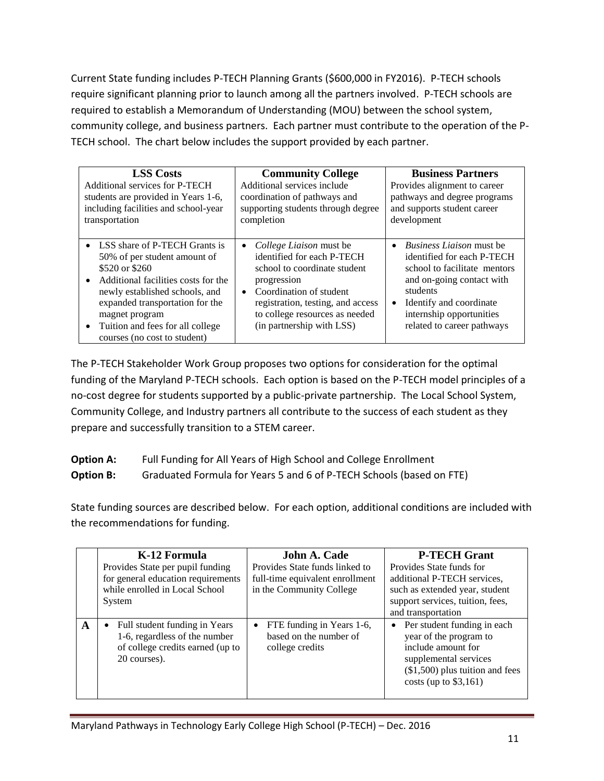Current State funding includes P-TECH Planning Grants (\$600,000 in FY2016). P-TECH schools require significant planning prior to launch among all the partners involved. P-TECH schools are required to establish a Memorandum of Understanding (MOU) between the school system, community college, and business partners. Each partner must contribute to the operation of the P-TECH school. The chart below includes the support provided by each partner.

| <b>LSS Costs</b><br>Additional services for P-TECH<br>students are provided in Years 1-6,<br>including facilities and school-year<br>transportation                                                                                                                                 | <b>Community College</b><br>Additional services include<br>coordination of pathways and<br>supporting students through degree<br>completion                                                                                                                          | <b>Business Partners</b><br>Provides alignment to career<br>pathways and degree programs<br>and supports student career<br>development                                                                                                   |  |  |  |
|-------------------------------------------------------------------------------------------------------------------------------------------------------------------------------------------------------------------------------------------------------------------------------------|----------------------------------------------------------------------------------------------------------------------------------------------------------------------------------------------------------------------------------------------------------------------|------------------------------------------------------------------------------------------------------------------------------------------------------------------------------------------------------------------------------------------|--|--|--|
| • LSS share of P-TECH Grants is<br>50% of per student amount of<br>\$520 or \$260<br>Additional facilities costs for the<br>newly established schools, and<br>expanded transportation for the<br>magnet program<br>Tuition and fees for all college<br>courses (no cost to student) | <i>College Liaison</i> must be<br>$\bullet$<br>identified for each P-TECH<br>school to coordinate student<br>progression<br>Coordination of student<br>$\bullet$<br>registration, testing, and access<br>to college resources as needed<br>(in partnership with LSS) | <i>Business Ligison</i> must be<br>$\bullet$<br>identified for each P-TECH<br>school to facilitate mentors<br>and on-going contact with<br>students<br>Identify and coordinate<br>internship opportunities<br>related to career pathways |  |  |  |

The P-TECH Stakeholder Work Group proposes two options for consideration for the optimal funding of the Maryland P-TECH schools. Each option is based on the P-TECH model principles of a no-cost degree for students supported by a public-private partnership. The Local School System, Community College, and Industry partners all contribute to the success of each student as they prepare and successfully transition to a STEM career.

| <b>Option A:</b> | Full Funding for All Years of High School and College Enrollment     |
|------------------|----------------------------------------------------------------------|
| <b>Option B:</b> | Graduated Formula for Years 5 and 6 of P-TECH Schools (based on FTE) |

State funding sources are described below. For each option, additional conditions are included with the recommendations for funding.

|   | K-12 Formula<br>Provides State per pupil funding<br>for general education requirements<br>while enrolled in Local School<br>System | John A. Cade<br>Provides State funds linked to<br>full-time equivalent enrollment<br>in the Community College | <b>P-TECH Grant</b><br>Provides State funds for<br>additional P-TECH services,<br>such as extended year, student<br>support services, tuition, fees,<br>and transportation       |
|---|------------------------------------------------------------------------------------------------------------------------------------|---------------------------------------------------------------------------------------------------------------|----------------------------------------------------------------------------------------------------------------------------------------------------------------------------------|
| A | Full student funding in Years<br>$\bullet$<br>1-6, regardless of the number<br>of college credits earned (up to<br>20 courses).    | FTE funding in Years 1-6,<br>$\bullet$<br>based on the number of<br>college credits                           | Per student funding in each<br>$\bullet$<br>year of the program to<br>include amount for<br>supplemental services<br>$($1,500)$ plus tuition and fees<br>costs (up to $$3,161$ ) |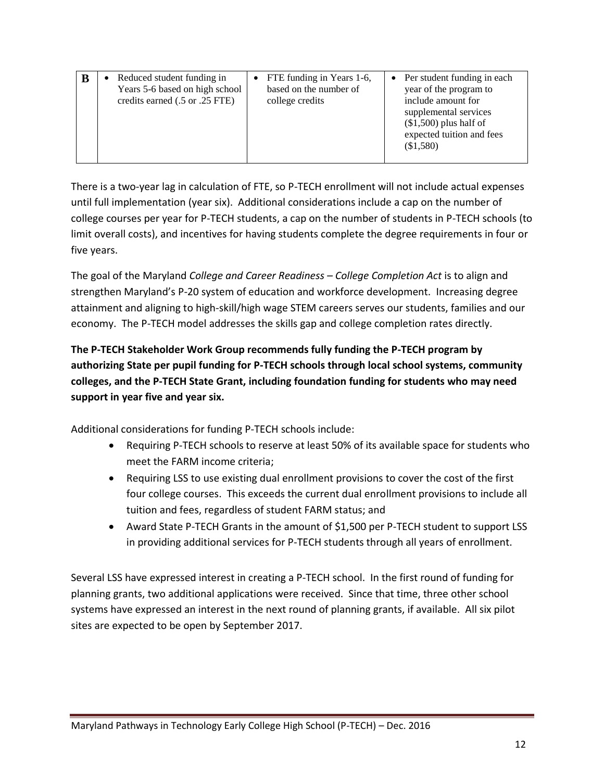| B | Reduced student funding in<br>Years 5-6 based on high school<br>credits earned (.5 or .25 FTE) | • FTE funding in Years 1-6,<br>based on the number of<br>college credits | • Per student funding in each<br>year of the program to<br>include amount for<br>supplemental services<br>$($1,500)$ plus half of<br>expected tuition and fees<br>(\$1,580) |
|---|------------------------------------------------------------------------------------------------|--------------------------------------------------------------------------|-----------------------------------------------------------------------------------------------------------------------------------------------------------------------------|
|---|------------------------------------------------------------------------------------------------|--------------------------------------------------------------------------|-----------------------------------------------------------------------------------------------------------------------------------------------------------------------------|

There is a two-year lag in calculation of FTE, so P-TECH enrollment will not include actual expenses until full implementation (year six). Additional considerations include a cap on the number of college courses per year for P-TECH students, a cap on the number of students in P-TECH schools (to limit overall costs), and incentives for having students complete the degree requirements in four or five years.

The goal of the Maryland *College and Career Readiness – College Completion Act* is to align and strengthen Maryland's P-20 system of education and workforce development. Increasing degree attainment and aligning to high-skill/high wage STEM careers serves our students, families and our economy. The P-TECH model addresses the skills gap and college completion rates directly.

**The P-TECH Stakeholder Work Group recommends fully funding the P-TECH program by authorizing State per pupil funding for P-TECH schools through local school systems, community colleges, and the P-TECH State Grant, including foundation funding for students who may need support in year five and year six.** 

Additional considerations for funding P-TECH schools include:

- Requiring P-TECH schools to reserve at least 50% of its available space for students who meet the FARM income criteria;
- Requiring LSS to use existing dual enrollment provisions to cover the cost of the first four college courses. This exceeds the current dual enrollment provisions to include all tuition and fees, regardless of student FARM status; and
- Award State P-TECH Grants in the amount of \$1,500 per P-TECH student to support LSS in providing additional services for P-TECH students through all years of enrollment.

Several LSS have expressed interest in creating a P-TECH school. In the first round of funding for planning grants, two additional applications were received. Since that time, three other school systems have expressed an interest in the next round of planning grants, if available. All six pilot sites are expected to be open by September 2017.